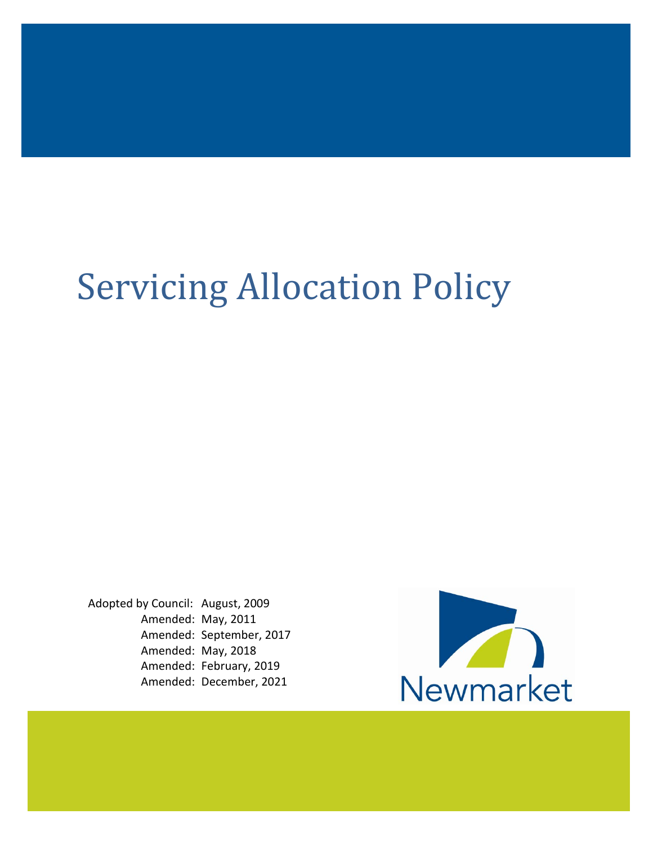# Servicing Allocation Policy

Adopted by Council: August, 2009 Amended: May, 2011 Amended: September, 2017 Amended: May, 2018 Amended: February, 2019 Amended: December, 2021

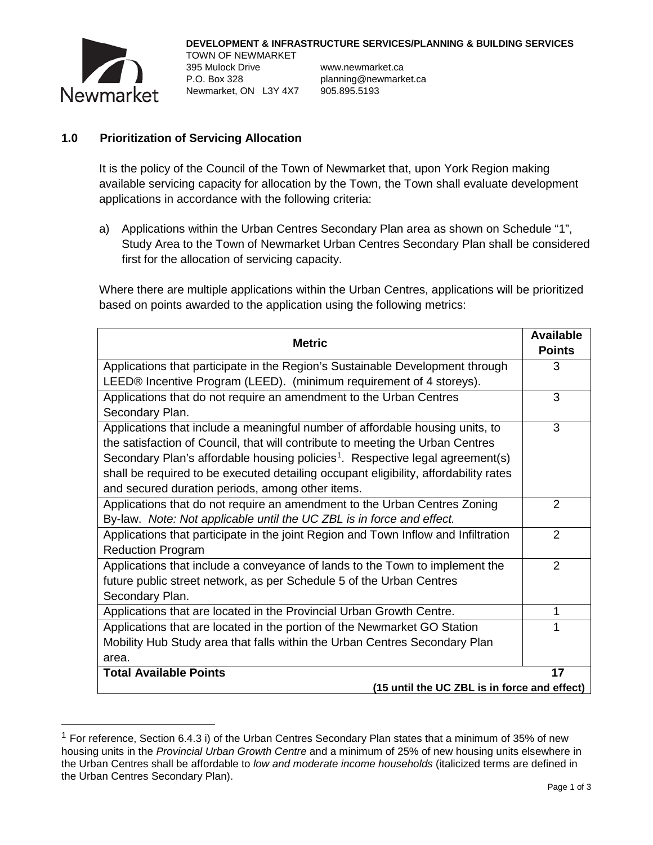

TOWN OF NEWMARKET 395 Mulock Drive www.newmarket.ca P.O. Box 328 planning@newmarket.ca Newmarket, ON L3Y 4X7 905.895.5193

## **1.0 Prioritization of Servicing Allocation**

It is the policy of the Council of the Town of Newmarket that, upon York Region making available servicing capacity for allocation by the Town, the Town shall evaluate development applications in accordance with the following criteria:

a) Applications within the Urban Centres Secondary Plan area as shown on Schedule "1", Study Area to the Town of Newmarket Urban Centres Secondary Plan shall be considered first for the allocation of servicing capacity.

Where there are multiple applications within the Urban Centres, applications will be prioritized based on points awarded to the application using the following metrics:

| <b>Metric</b>                                                                                                                                                                                                                                                                                                                                                                                            | <b>Available</b><br><b>Points</b> |
|----------------------------------------------------------------------------------------------------------------------------------------------------------------------------------------------------------------------------------------------------------------------------------------------------------------------------------------------------------------------------------------------------------|-----------------------------------|
| Applications that participate in the Region's Sustainable Development through                                                                                                                                                                                                                                                                                                                            | 3                                 |
| LEED® Incentive Program (LEED). (minimum requirement of 4 storeys).                                                                                                                                                                                                                                                                                                                                      |                                   |
| Applications that do not require an amendment to the Urban Centres                                                                                                                                                                                                                                                                                                                                       | 3                                 |
| Secondary Plan.                                                                                                                                                                                                                                                                                                                                                                                          |                                   |
| Applications that include a meaningful number of affordable housing units, to<br>the satisfaction of Council, that will contribute to meeting the Urban Centres<br>Secondary Plan's affordable housing policies <sup>1</sup> . Respective legal agreement(s)<br>shall be required to be executed detailing occupant eligibility, affordability rates<br>and secured duration periods, among other items. | 3                                 |
| Applications that do not require an amendment to the Urban Centres Zoning<br>By-law. Note: Not applicable until the UC ZBL is in force and effect.                                                                                                                                                                                                                                                       | $\overline{2}$                    |
| Applications that participate in the joint Region and Town Inflow and Infiltration<br><b>Reduction Program</b>                                                                                                                                                                                                                                                                                           | $\overline{2}$                    |
| Applications that include a conveyance of lands to the Town to implement the<br>future public street network, as per Schedule 5 of the Urban Centres<br>Secondary Plan.                                                                                                                                                                                                                                  | 2                                 |
| Applications that are located in the Provincial Urban Growth Centre.                                                                                                                                                                                                                                                                                                                                     | 1                                 |
| Applications that are located in the portion of the Newmarket GO Station                                                                                                                                                                                                                                                                                                                                 |                                   |
| Mobility Hub Study area that falls within the Urban Centres Secondary Plan                                                                                                                                                                                                                                                                                                                               |                                   |
| area.                                                                                                                                                                                                                                                                                                                                                                                                    |                                   |
| <b>Total Available Points</b>                                                                                                                                                                                                                                                                                                                                                                            | 17                                |
| (15 until the UC ZBL is in force and effect)                                                                                                                                                                                                                                                                                                                                                             |                                   |

<span id="page-1-0"></span> $1$  For reference, Section 6.4.3 i) of the Urban Centres Secondary Plan states that a minimum of 35% of new housing units in the *Provincial Urban Growth Centre* and a minimum of 25% of new housing units elsewhere in the Urban Centres shall be affordable to *low and moderate income households* (italicized terms are defined in the Urban Centres Secondary Plan).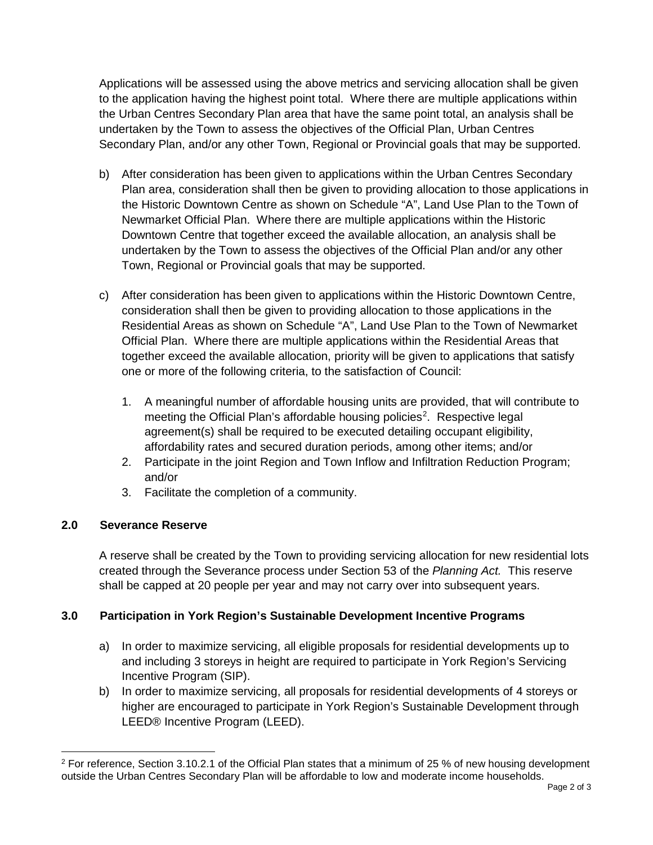Applications will be assessed using the above metrics and servicing allocation shall be given to the application having the highest point total. Where there are multiple applications within the Urban Centres Secondary Plan area that have the same point total, an analysis shall be undertaken by the Town to assess the objectives of the Official Plan, Urban Centres Secondary Plan, and/or any other Town, Regional or Provincial goals that may be supported.

- b) After consideration has been given to applications within the Urban Centres Secondary Plan area, consideration shall then be given to providing allocation to those applications in the Historic Downtown Centre as shown on Schedule "A", Land Use Plan to the Town of Newmarket Official Plan. Where there are multiple applications within the Historic Downtown Centre that together exceed the available allocation, an analysis shall be undertaken by the Town to assess the objectives of the Official Plan and/or any other Town, Regional or Provincial goals that may be supported.
- c) After consideration has been given to applications within the Historic Downtown Centre, consideration shall then be given to providing allocation to those applications in the Residential Areas as shown on Schedule "A", Land Use Plan to the Town of Newmarket Official Plan. Where there are multiple applications within the Residential Areas that together exceed the available allocation, priority will be given to applications that satisfy one or more of the following criteria, to the satisfaction of Council:
	- 1. A meaningful number of affordable housing units are provided, that will contribute to meeting the Official Plan's affordable housing policies<sup>[2](#page-2-0)</sup>. Respective legal agreement(s) shall be required to be executed detailing occupant eligibility, affordability rates and secured duration periods, among other items; and/or
	- 2. Participate in the joint Region and Town Inflow and Infiltration Reduction Program; and/or
	- 3. Facilitate the completion of a community.

## **2.0 Severance Reserve**

A reserve shall be created by the Town to providing servicing allocation for new residential lots created through the Severance process under Section 53 of the *Planning Act.* This reserve shall be capped at 20 people per year and may not carry over into subsequent years.

## **3.0 Participation in York Region's Sustainable Development Incentive Programs**

- a) In order to maximize servicing, all eligible proposals for residential developments up to and including 3 storeys in height are required to participate in York Region's Servicing Incentive Program (SIP).
- b) In order to maximize servicing, all proposals for residential developments of 4 storeys or higher are encouraged to participate in York Region's Sustainable Development through LEED® Incentive Program (LEED).

<span id="page-2-0"></span> $2$  For reference, Section 3.10.2.1 of the Official Plan states that a minimum of 25 % of new housing development outside the Urban Centres Secondary Plan will be affordable to low and moderate income households.